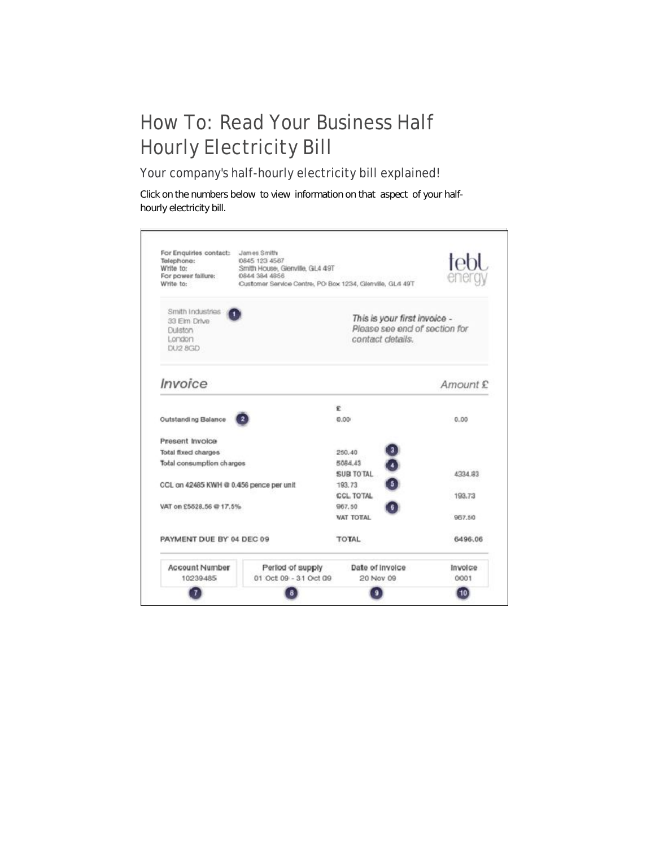## How To: Read Your Business Half Hourly Electricity Bill

Your company's half-hourly electricity bill explained!

Click on the numbers below to view information on that aspect of your halfhourly electricity bill.

| For Enquiries contact:<br>Telephone:<br>Write to:<br>For power failure:<br>Write to: | James Smith<br>0845 123 4567<br>Smith House, Glenville, GL4 49T<br>0844 384 4856<br>Customer Service Centre, PO Box 1234, Glenville, GL4 49T | tebl                                                                              |          |
|--------------------------------------------------------------------------------------|----------------------------------------------------------------------------------------------------------------------------------------------|-----------------------------------------------------------------------------------|----------|
| Smith Industries<br>33 Elm Drive<br>Duiston<br>London<br>DU2 8GD                     |                                                                                                                                              | This is your first invoice -<br>Please see end of section for<br>contact details. |          |
| Invoice                                                                              |                                                                                                                                              |                                                                                   | Amount £ |
|                                                                                      |                                                                                                                                              | ¢                                                                                 |          |
| Outstanding Balance                                                                  |                                                                                                                                              | 0.00                                                                              | 0.00     |
| Present Invoice                                                                      |                                                                                                                                              |                                                                                   |          |
| Total fixed charges                                                                  |                                                                                                                                              | 250.40                                                                            |          |
| Total consumption charges                                                            |                                                                                                                                              | 5084.43                                                                           |          |
|                                                                                      |                                                                                                                                              | SUR TO TAL                                                                        | A334 #3  |
| CCL on 42485 KWH @ 0.456 pence per unit                                              |                                                                                                                                              | 193.73                                                                            |          |
| VAT on £5528.56 @ 17.5%                                                              |                                                                                                                                              | CCL TOTAL<br>967.50                                                               | 193.73   |
|                                                                                      |                                                                                                                                              | VAT TOTAL                                                                         | 967.50   |
| PAYMENT DUE BY 04 DEC 09                                                             |                                                                                                                                              | TOTAL                                                                             | 6496.06  |
| Account Number                                                                       | Period of supply                                                                                                                             | Date of invoice                                                                   | Invoice  |
| 10239-485                                                                            | 01 Oct 09 - 31 Oct 09                                                                                                                        | 20 Nov 09                                                                         | 0001     |
|                                                                                      |                                                                                                                                              |                                                                                   |          |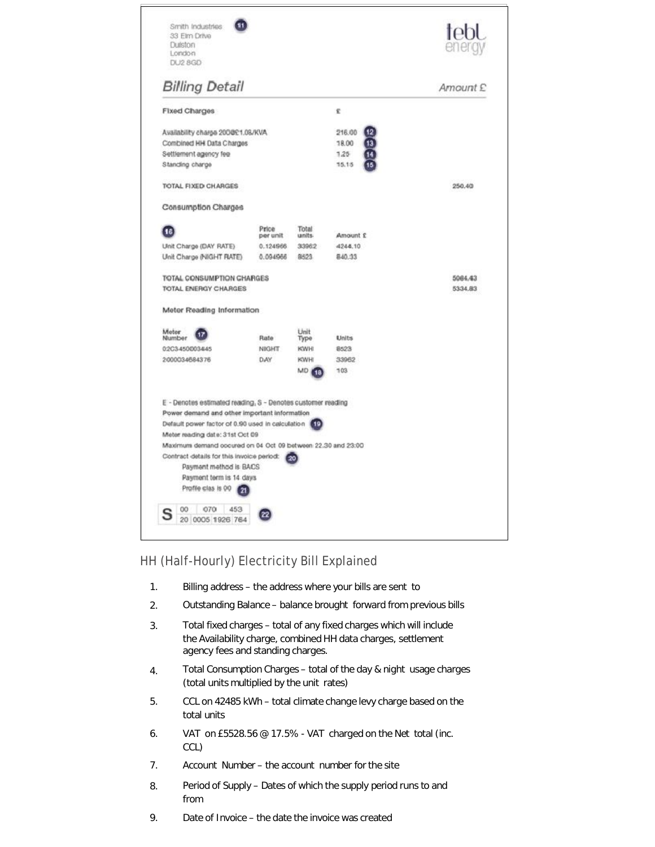| Duiston<br>London<br>DU2 8GD                                                                                                                                                                                                                                                                                                             |                         |                        |          |         |
|------------------------------------------------------------------------------------------------------------------------------------------------------------------------------------------------------------------------------------------------------------------------------------------------------------------------------------------|-------------------------|------------------------|----------|---------|
| <b>Billing Detail</b>                                                                                                                                                                                                                                                                                                                    | Amount £                |                        |          |         |
| Fixed Charges                                                                                                                                                                                                                                                                                                                            |                         |                        | £        |         |
| Availability charge 200@£1.08/KVA                                                                                                                                                                                                                                                                                                        |                         |                        | 216.00   |         |
| Combined HH Data Charges                                                                                                                                                                                                                                                                                                                 |                         |                        | 18.00    |         |
| Settlement agency fee                                                                                                                                                                                                                                                                                                                    |                         |                        | 1.25     |         |
| Standing charge                                                                                                                                                                                                                                                                                                                          |                         |                        | 15.15    |         |
| <b>TOTAL FIXED CHARGES</b>                                                                                                                                                                                                                                                                                                               |                         |                        |          | 250.40  |
| Consumption Charges                                                                                                                                                                                                                                                                                                                      |                         |                        |          |         |
| 16                                                                                                                                                                                                                                                                                                                                       | Price<br>per unit       | <b>Total</b><br>units. | Amount £ |         |
| Unit Charge (DAY RATE)                                                                                                                                                                                                                                                                                                                   | 0.124966                | 33962                  | 4244.10  |         |
| Unit Charge (NIGHT RATE)                                                                                                                                                                                                                                                                                                                 | 0.094966                | 8523                   | 840.33   |         |
| <b>TOTAL ENERGY CHARGES</b><br>Meter Reading Information                                                                                                                                                                                                                                                                                 |                         |                        |          | 5334.83 |
| Meter<br>Nlumber                                                                                                                                                                                                                                                                                                                         | Rate                    | Unit<br>Type           | Units    |         |
| 0:2C3-450003445                                                                                                                                                                                                                                                                                                                          | <b>NIGHT</b>            | <b>KWH</b>             | 8523     |         |
| 2000034684376                                                                                                                                                                                                                                                                                                                            | DiAY                    | <b>KWH</b>             | 33962    |         |
|                                                                                                                                                                                                                                                                                                                                          |                         | MD <sub>418</sub>      | 103      |         |
| E - Denotes estimated reading, S - Denotes customer reading<br>Power demand and other important information<br>Default power factor of 0.90 used in calculation<br>Meter reading date: 31st Oct 09<br>Maximum demand occured on 04 Oct 09 between 22,30 and 23:00<br>Contract details for this invoice period:<br>Payment method is BACS | Payment term is 14 days | 19)<br>20              |          |         |

## HH (Half-Hourly) Electricity Bill Explained

- 1. Billing address – the address where your bills are sent to
- 2. Outstanding Balance – balance brought forward from previous bills
- 3. Total fixed charges – total of any fixed charges which will include the Availability charge, combined HH data charges, settlement agency fees and standing charges.
- 4. Total Consumption Charges – total of the day & night usage charges (total units multiplied by the unit rates)
- 5. CCL on 42485 kWh – total climate change levy charge based on the total units
- 6. VAT on £5528.56 @ 17.5% - VAT charged on the Net total (inc. CCL)
- 7. Account Number – the account number for the site
- 8. Period of Supply – Dates of which the supply period runs to and from
- 9. Date of Invoice – the date the invoice was created